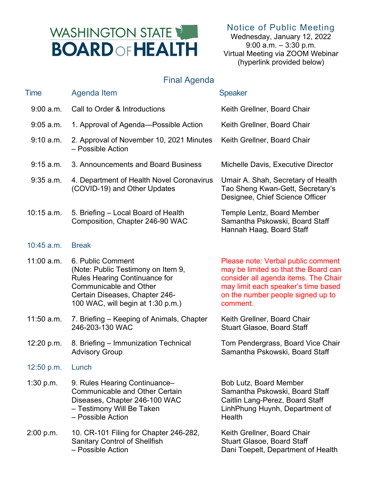## WASHINGTON STATE **BOARD OF HEALTH**

Notice of Public Meeting

Wednesday, January 12, 2022 9:00 a.m. – 3:30 p.m. Virtual Meeting via ZOOM Webinar (hyperlink provided below)

## Final Agenda

| <b>Time</b>  | Agenda Item                                                                                                                                                                                      | <b>Speaker</b>                                                                                                                                                                                             |
|--------------|--------------------------------------------------------------------------------------------------------------------------------------------------------------------------------------------------|------------------------------------------------------------------------------------------------------------------------------------------------------------------------------------------------------------|
| 9:00 a.m.    | Call to Order & Introductions                                                                                                                                                                    | Keith Grellner, Board Chair                                                                                                                                                                                |
| $9:05$ a.m.  | 1. Approval of Agenda-Possible Action                                                                                                                                                            | Keith Grellner, Board Chair                                                                                                                                                                                |
| 9:10 a.m.    | 2. Approval of November 10, 2021 Minutes<br>- Possible Action                                                                                                                                    | Keith Grellner, Board Chair                                                                                                                                                                                |
| 9:15 a.m.    | 3. Announcements and Board Business                                                                                                                                                              | Michelle Davis, Executive Director                                                                                                                                                                         |
| $9:35$ a.m.  | 4. Department of Health Novel Coronavirus<br>(COVID-19) and Other Updates                                                                                                                        | Umair A. Shah, Secretary of Health<br>Tao Sheng Kwan-Gett, Secretary's<br>Designee, Chief Science Officer                                                                                                  |
| $10:15$ a.m. | 5. Briefing - Local Board of Health<br>Composition, Chapter 246-90 WAC                                                                                                                           | Temple Lentz, Board Member<br>Samantha Pskowski, Board Staff<br>Hannah Haag, Board Staff                                                                                                                   |
| $10:45$ a.m. | <b>Break</b>                                                                                                                                                                                     |                                                                                                                                                                                                            |
| 11:00 a.m.   | 6. Public Comment<br>(Note: Public Testimony on Item 9,<br>Rules Hearing Continuance for<br><b>Communicable and Other</b><br>Certain Diseases, Chapter 246-<br>100 WAC, will begin at 1:30 p.m.) | Please note: Verbal public comment<br>may be limited so that the Board can<br>consider all agenda items. The Chair<br>may limit each speaker's time based<br>on the number people signed up to<br>comment. |
| $11:50$ a.m. | 7. Briefing – Keeping of Animals, Chapter<br>246-203-130 WAC                                                                                                                                     | Keith Grellner, Board Chair<br><b>Stuart Glasoe, Board Staff</b>                                                                                                                                           |
| 12:20 p.m.   | 8. Briefing - Immunization Technical<br><b>Advisory Group</b>                                                                                                                                    | Tom Pendergrass, Board Vice Chair<br>Samantha Pskowski, Board Staff                                                                                                                                        |
| 12:50 p.m.   | Lunch                                                                                                                                                                                            |                                                                                                                                                                                                            |
| 1:30 p.m.    | 9. Rules Hearing Continuance-<br><b>Communicable and Other Certain</b><br>Diseases, Chapter 246-100 WAC<br>- Testimony Will Be Taken<br>- Possible Action                                        | <b>Bob Lutz, Board Member</b><br>Samantha Pskowski, Board Staff<br>Caitlin Lang-Perez, Board Staff<br>LinhPhung Huynh, Department of<br>Health                                                             |
| 2:00 p.m.    | 10. CR-101 Filing for Chapter 246-282,<br><b>Sanitary Control of Shellfish</b><br>- Possible Action                                                                                              | Keith Grellner, Board Chair<br><b>Stuart Glasoe, Board Staff</b><br>Dani Toepelt, Department of Health                                                                                                     |